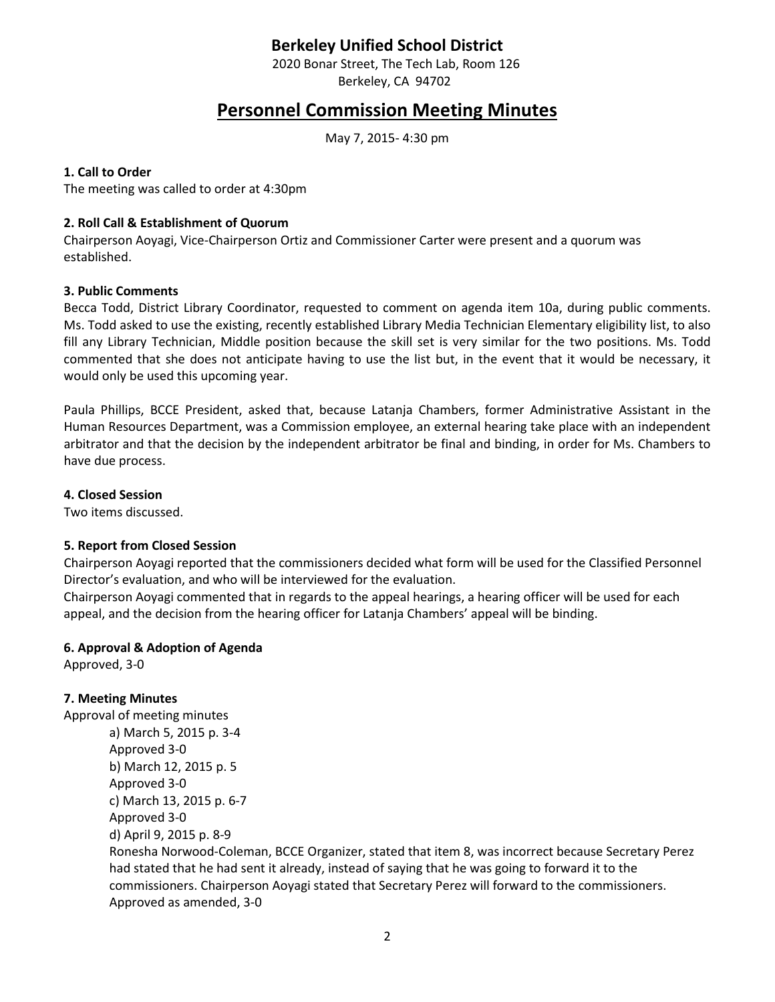## **Berkeley Unified School District**

2020 Bonar Street, The Tech Lab, Room 126 Berkeley, CA 94702

# **Personnel Commission Meeting Minutes**

May 7, 2015- 4:30 pm

#### **1. Call to Order**

The meeting was called to order at 4:30pm

#### **2. Roll Call & Establishment of Quorum**

Chairperson Aoyagi, Vice-Chairperson Ortiz and Commissioner Carter were present and a quorum was established.

#### **3. Public Comments**

Becca Todd, District Library Coordinator, requested to comment on agenda item 10a, during public comments. Ms. Todd asked to use the existing, recently established Library Media Technician Elementary eligibility list, to also fill any Library Technician, Middle position because the skill set is very similar for the two positions. Ms. Todd commented that she does not anticipate having to use the list but, in the event that it would be necessary, it would only be used this upcoming year.

Paula Phillips, BCCE President, asked that, because Latanja Chambers, former Administrative Assistant in the Human Resources Department, was a Commission employee, an external hearing take place with an independent arbitrator and that the decision by the independent arbitrator be final and binding, in order for Ms. Chambers to have due process.

**4. Closed Session** 

Two items discussed.

#### **5. Report from Closed Session**

Chairperson Aoyagi reported that the commissioners decided what form will be used for the Classified Personnel Director's evaluation, and who will be interviewed for the evaluation.

Chairperson Aoyagi commented that in regards to the appeal hearings, a hearing officer will be used for each appeal, and the decision from the hearing officer for Latanja Chambers' appeal will be binding.

#### **6. Approval & Adoption of Agenda**

Approved, 3-0

#### **7. Meeting Minutes**

Approval of meeting minutes a) March 5, 2015 p. 3-4 Approved 3-0 b) March 12, 2015 p. 5 Approved 3-0 c) March 13, 2015 p. 6-7 Approved 3-0 d) April 9, 2015 p. 8-9 Ronesha Norwood-Coleman, BCCE Organizer, stated that item 8, was incorrect because Secretary Perez had stated that he had sent it already, instead of saying that he was going to forward it to the commissioners. Chairperson Aoyagi stated that Secretary Perez will forward to the commissioners. Approved as amended, 3-0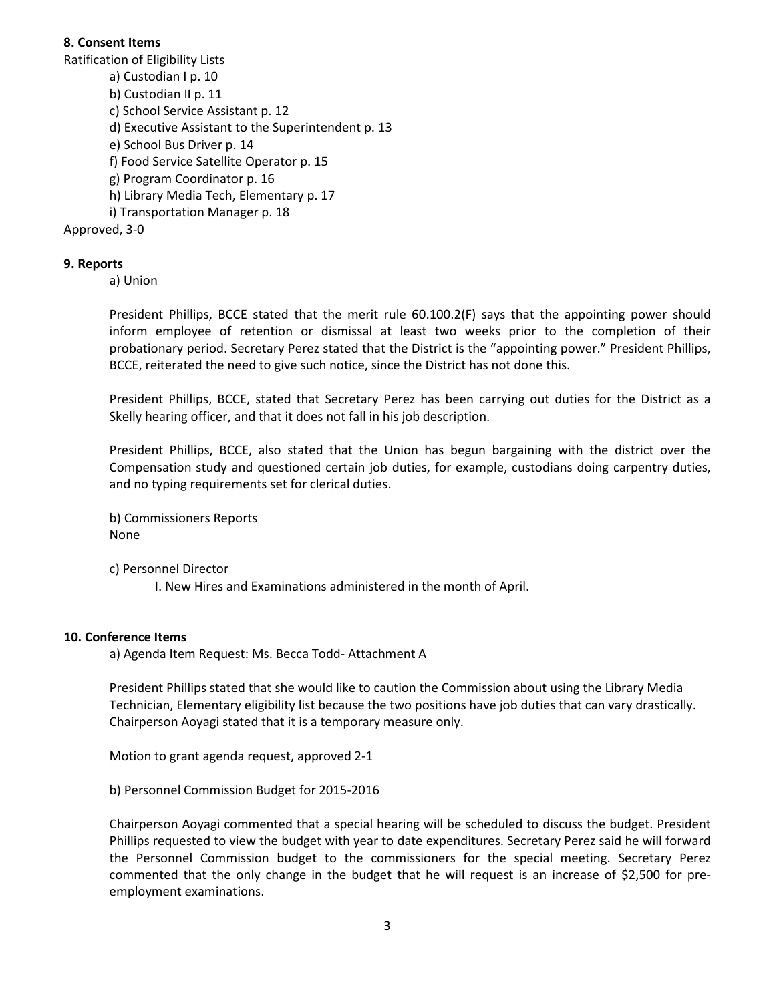#### **8. Consent Items**

Ratification of Eligibility Lists

- a) Custodian I p. 10
- b) Custodian II p. 11
- c) School Service Assistant p. 12
- d) Executive Assistant to the Superintendent p. 13
- e) School Bus Driver p. 14
- f) Food Service Satellite Operator p. 15
- g) Program Coordinator p. 16
- h) Library Media Tech, Elementary p. 17
- i) Transportation Manager p. 18

Approved, 3-0

#### **9. Reports**

a) Union

President Phillips, BCCE stated that the merit rule 60.100.2(F) says that the appointing power should inform employee of retention or dismissal at least two weeks prior to the completion of their probationary period. Secretary Perez stated that the District is the "appointing power." President Phillips, BCCE, reiterated the need to give such notice, since the District has not done this.

President Phillips, BCCE, stated that Secretary Perez has been carrying out duties for the District as a Skelly hearing officer, and that it does not fall in his job description.

President Phillips, BCCE, also stated that the Union has begun bargaining with the district over the Compensation study and questioned certain job duties, for example, custodians doing carpentry duties, and no typing requirements set for clerical duties.

b) Commissioners Reports None

c) Personnel Director

I. New Hires and Examinations administered in the month of April.

#### **10. Conference Items**

a) Agenda Item Request: Ms. Becca Todd- Attachment A

President Phillips stated that she would like to caution the Commission about using the Library Media Technician, Elementary eligibility list because the two positions have job duties that can vary drastically. Chairperson Aoyagi stated that it is a temporary measure only.

Motion to grant agenda request, approved 2-1

b) Personnel Commission Budget for 2015-2016

Chairperson Aoyagi commented that a special hearing will be scheduled to discuss the budget. President Phillips requested to view the budget with year to date expenditures. Secretary Perez said he will forward the Personnel Commission budget to the commissioners for the special meeting. Secretary Perez commented that the only change in the budget that he will request is an increase of \$2,500 for preemployment examinations.